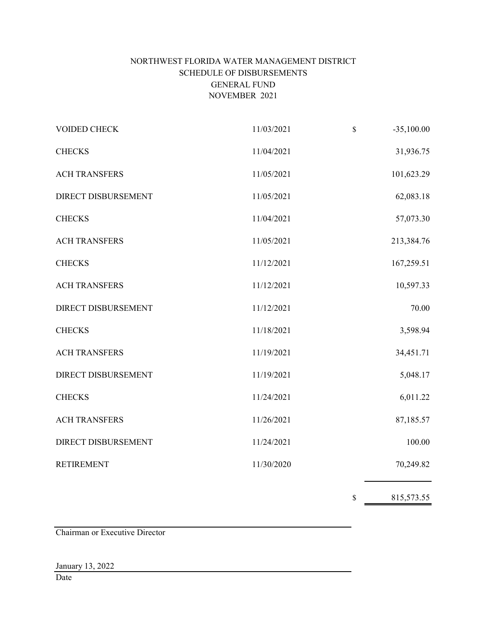# NORTHWEST FLORIDA WATER MANAGEMENT DISTRICT SCHEDULE OF DISBURSEMENTS GENERAL FUND NOVEMBER 2021

i.

| VOIDED CHECK         | 11/03/2021 | \$<br>$-35,100.00$ |
|----------------------|------------|--------------------|
| <b>CHECKS</b>        | 11/04/2021 | 31,936.75          |
| <b>ACH TRANSFERS</b> | 11/05/2021 | 101,623.29         |
| DIRECT DISBURSEMENT  | 11/05/2021 | 62,083.18          |
| <b>CHECKS</b>        | 11/04/2021 | 57,073.30          |
| <b>ACH TRANSFERS</b> | 11/05/2021 | 213,384.76         |
| <b>CHECKS</b>        | 11/12/2021 | 167,259.51         |
| <b>ACH TRANSFERS</b> | 11/12/2021 | 10,597.33          |
| DIRECT DISBURSEMENT  | 11/12/2021 | 70.00              |
| <b>CHECKS</b>        | 11/18/2021 | 3,598.94           |
| <b>ACH TRANSFERS</b> | 11/19/2021 | 34,451.71          |
| DIRECT DISBURSEMENT  | 11/19/2021 | 5,048.17           |
| <b>CHECKS</b>        | 11/24/2021 | 6,011.22           |
| <b>ACH TRANSFERS</b> | 11/26/2021 | 87,185.57          |
| DIRECT DISBURSEMENT  | 11/24/2021 | 100.00             |
| <b>RETIREMENT</b>    | 11/30/2020 | 70,249.82          |
|                      |            | \$<br>815,573.55   |

Chairman or Executive Director

# January 13, 2022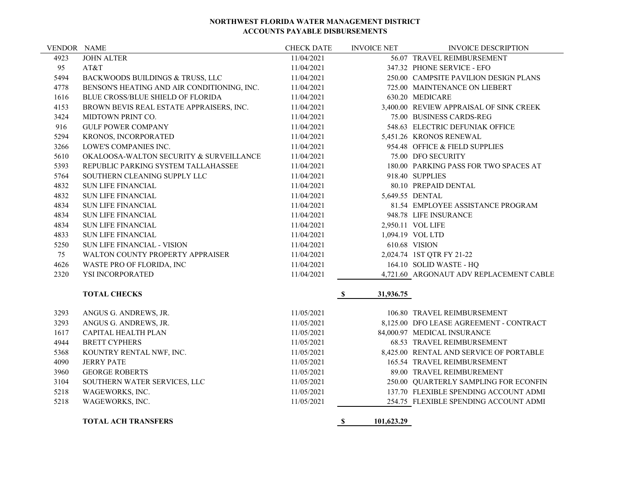| VENDOR NAME |                                                    | <b>CHECK DATE</b> | <b>INVOICE NET</b>        | <b>INVOICE DESCRIPTION</b>              |
|-------------|----------------------------------------------------|-------------------|---------------------------|-----------------------------------------|
| 4923        | <b>JOHN ALTER</b>                                  | 11/04/2021        |                           | 56.07 TRAVEL REIMBURSEMENT              |
| 95          | AT&T                                               | 11/04/2021        |                           | 347.32 PHONE SERVICE - EFO              |
| 5494        | BACKWOODS BUILDINGS & TRUSS, LLC                   | 11/04/2021        |                           | 250.00 CAMPSITE PAVILION DESIGN PLANS   |
| 4778        | BENSON'S HEATING AND AIR CONDITIONING, INC.        | 11/04/2021        |                           | 725.00 MAINTENANCE ON LIEBERT           |
| 1616        | BLUE CROSS/BLUE SHIELD OF FLORIDA                  | 11/04/2021        |                           | 630.20 MEDICARE                         |
| 4153        | BROWN BEVIS REAL ESTATE APPRAISERS, INC.           | 11/04/2021        |                           | 3,400.00 REVIEW APPRAISAL OF SINK CREEK |
| 3424        | MIDTOWN PRINT CO.                                  | 11/04/2021        |                           | 75.00 BUSINESS CARDS-REG                |
| 916         | <b>GULF POWER COMPANY</b>                          | 11/04/2021        |                           | 548.63 ELECTRIC DEFUNIAK OFFICE         |
| 5294        | KRONOS, INCORPORATED                               | 11/04/2021        |                           | 5,451.26 KRONOS RENEWAL                 |
| 3266        | LOWE'S COMPANIES INC.                              | 11/04/2021        |                           | 954.48 OFFICE & FIELD SUPPLIES          |
| 5610        | <b>OKALOOSA-WALTON SECURITY &amp; SURVEILLANCE</b> | 11/04/2021        |                           | 75.00 DFO SECURITY                      |
| 5393        | REPUBLIC PARKING SYSTEM TALLAHASSEE                | 11/04/2021        |                           | 180.00 PARKING PASS FOR TWO SPACES AT   |
| 5764        | SOUTHERN CLEANING SUPPLY LLC                       | 11/04/2021        |                           | 918.40 SUPPLIES                         |
| 4832        | <b>SUN LIFE FINANCIAL</b>                          | 11/04/2021        |                           | 80.10 PREPAID DENTAL                    |
| 4832        | <b>SUN LIFE FINANCIAL</b>                          | 11/04/2021        |                           | 5,649.55 DENTAL                         |
| 4834        | <b>SUN LIFE FINANCIAL</b>                          | 11/04/2021        |                           | 81.54 EMPLOYEE ASSISTANCE PROGRAM       |
| 4834        | <b>SUN LIFE FINANCIAL</b>                          | 11/04/2021        |                           | 948.78 LIFE INSURANCE                   |
| 4834        | <b>SUN LIFE FINANCIAL</b>                          | 11/04/2021        |                           | 2,950.11 VOL LIFE                       |
| 4833        | <b>SUN LIFE FINANCIAL</b>                          | 11/04/2021        |                           | 1,094.19 VOL LTD                        |
| 5250        | <b>SUN LIFE FINANCIAL - VISION</b>                 | 11/04/2021        |                           | 610.68 VISION                           |
| 75          | WALTON COUNTY PROPERTY APPRAISER                   | 11/04/2021        |                           | 2,024.74 1ST QTR FY 21-22               |
| 4626        | WASTE PRO OF FLORIDA, INC                          | 11/04/2021        |                           | 164.10 SOLID WASTE - HQ                 |
| 2320        | YSI INCORPORATED                                   | 11/04/2021        |                           | 4,721.60 ARGONAUT ADV REPLACEMENT CABLE |
|             | <b>TOTAL CHECKS</b>                                |                   | $\mathbf{s}$<br>31,936.75 |                                         |
|             |                                                    |                   |                           |                                         |
| 3293        | ANGUS G. ANDREWS, JR.                              | 11/05/2021        |                           | 106.80 TRAVEL REIMBURSEMENT             |
| 3293        | ANGUS G. ANDREWS, JR.                              | 11/05/2021        |                           | 8,125.00 DFO LEASE AGREEMENT - CONTRACT |
| 1617        | <b>CAPITAL HEALTH PLAN</b>                         | 11/05/2021        |                           | 84,000.97 MEDICAL INSURANCE             |
| 4944        | <b>BRETT CYPHERS</b>                               | 11/05/2021        |                           | 68.53 TRAVEL REIMBURSEMENT              |
| 5368        | KOUNTRY RENTAL NWF, INC.                           | 11/05/2021        |                           | 8,425.00 RENTAL AND SERVICE OF PORTABLE |
| 4090        | <b>JERRY PATE</b>                                  | 11/05/2021        |                           | 165.54 TRAVEL REIMBURSEMENT             |
| 3960        | <b>GEORGE ROBERTS</b>                              | 11/05/2021        |                           | 89.00 TRAVEL REIMBUREMENT               |
| 3104        | SOUTHERN WATER SERVICES, LLC                       | 11/05/2021        |                           | 250.00 QUARTERLY SAMPLING FOR ECONFIN   |
| 5218        | WAGEWORKS, INC.                                    | 11/05/2021        |                           | 137.70 FLEXIBLE SPENDING ACCOUNT ADMI   |
| 5218        | WAGEWORKS, INC.                                    | 11/05/2021        |                           | 254.75 FLEXIBLE SPENDING ACCOUNT ADMI   |
|             |                                                    |                   |                           |                                         |

**TOTAL ACH TRANSFERS \$ 101,623.29**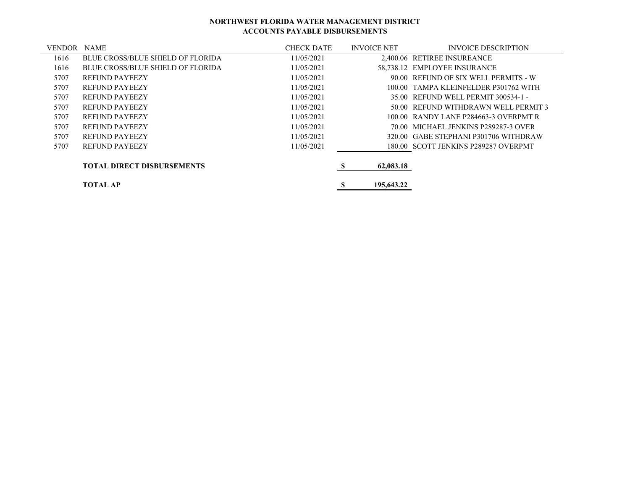| <b>VENDOR</b> | <b>NAME</b>                              | <b>CHECK DATE</b> | <b>INVOICE NET</b> | <b>INVOICE DESCRIPTION</b>            |
|---------------|------------------------------------------|-------------------|--------------------|---------------------------------------|
| 1616          | BLUE CROSS/BLUE SHIELD OF FLORIDA        | 11/05/2021        |                    | 2.400.06 RETIREE INSUREANCE           |
| 1616          | <b>BLUE CROSS/BLUE SHIELD OF FLORIDA</b> | 11/05/2021        |                    | 58,738.12 EMPLOYEE INSURANCE          |
| 5707          | <b>REFUND PAYEEZY</b>                    | 11/05/2021        |                    | 90.00 REFUND OF SIX WELL PERMITS - W  |
| 5707          | <b>REFUND PAYEEZY</b>                    | 11/05/2021        |                    | 100.00 TAMPA KLEINFELDER P301762 WITH |
| 5707          | <b>REFUND PAYEEZY</b>                    | 11/05/2021        |                    | 35.00 REFUND WELL PERMIT 300534-1 -   |
| 5707          | <b>REFUND PAYEEZY</b>                    | 11/05/2021        |                    | 50.00 REFUND WITHDRAWN WELL PERMIT 3  |
| 5707          | <b>REFUND PAYEEZY</b>                    | 11/05/2021        |                    | 100.00 RANDY LANE P284663-3 OVERPMT R |
| 5707          | <b>REFUND PAYEEZY</b>                    | 11/05/2021        |                    | 70.00 MICHAEL JENKINS P289287-3 OVER  |
| 5707          | <b>REFUND PAYEEZY</b>                    | 11/05/2021        |                    | 320.00 GABE STEPHANI P301706 WITHDRAW |
| 5707          | <b>REFUND PAYEEZY</b>                    | 11/05/2021        |                    | 180.00 SCOTT JENKINS P289287 OVERPMT  |
|               | <b>TOTAL DIRECT DISBURSEMENTS</b>        |                   | 62,083.18          |                                       |
|               | <b>TOTAL AP</b>                          |                   | 195,643.22         |                                       |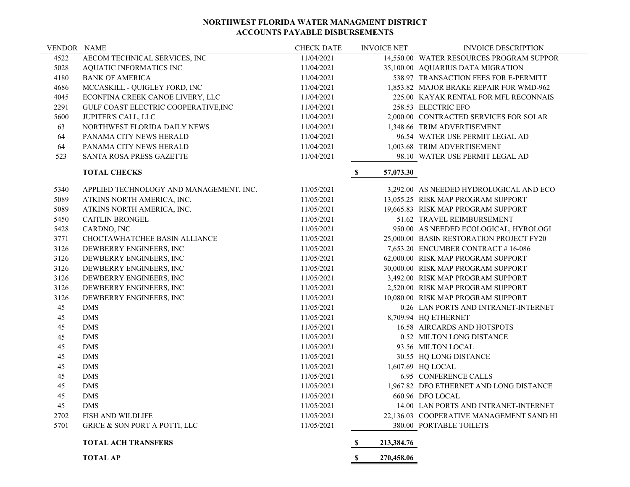| 4522<br>AECOM TECHNICAL SERVICES, INC<br>11/04/2021<br>14,550.00 WATER RESOURCES PROGRAM SUPPOR<br>5028<br>AQUATIC INFORMATICS INC<br>11/04/2021<br>35,100.00 AQUARIUS DATA MIGRATION<br>4180<br><b>BANK OF AMERICA</b><br>11/04/2021<br>538.97 TRANSACTION FEES FOR E-PERMITT<br>4686<br>MCCASKILL - QUIGLEY FORD, INC<br>11/04/2021<br>1,853.82 MAJOR BRAKE REPAIR FOR WMD-962<br>4045<br>ECONFINA CREEK CANOE LIVERY, LLC<br>11/04/2021<br>225.00 KAYAK RENTAL FOR MFL RECONNAIS<br>2291<br>GULF COAST ELECTRIC COOPERATIVE, INC<br>258.53 ELECTRIC EFO<br>11/04/2021<br>5600<br>JUPITER'S CALL, LLC<br>2,000.00 CONTRACTED SERVICES FOR SOLAR<br>11/04/2021<br>63<br>NORTHWEST FLORIDA DAILY NEWS<br>11/04/2021<br>1,348.66 TRIM ADVERTISEMENT<br>64<br>PANAMA CITY NEWS HERALD<br>11/04/2021<br>96.54 WATER USE PERMIT LEGAL AD<br>64<br>PANAMA CITY NEWS HERALD<br>11/04/2021<br>1,003.68 TRIM ADVERTISEMENT<br>523<br>11/04/2021<br>98.10 WATER USE PERMIT LEGAL AD<br>SANTA ROSA PRESS GAZETTE<br><b>TOTAL CHECKS</b><br>$\mathbf S$<br>57,073.30<br>APPLIED TECHNOLOGY AND MANAGEMENT, INC.<br>5340<br>11/05/2021<br>3,292.00 AS NEEDED HYDROLOGICAL AND ECO<br>5089<br>ATKINS NORTH AMERICA, INC.<br>13,055.25 RISK MAP PROGRAM SUPPORT<br>11/05/2021<br>5089<br>19,665.83 RISK MAP PROGRAM SUPPORT<br>ATKINS NORTH AMERICA, INC.<br>11/05/2021<br>5450<br><b>CAITLIN BRONGEL</b><br>51.62 TRAVEL REIMBURSEMENT<br>11/05/2021<br>5428<br>CARDNO, INC<br>11/05/2021<br>950.00 AS NEEDED ECOLOGICAL, HYROLOGI<br>3771<br>25,000.00 BASIN RESTORATION PROJECT FY20<br>CHOCTAWHATCHEE BASIN ALLIANCE<br>11/05/2021<br>3126<br>DEWBERRY ENGINEERS, INC<br>11/05/2021<br>7,653.20 ENCUMBER CONTRACT #16-086<br>3126<br>DEWBERRY ENGINEERS, INC<br>11/05/2021<br>62,000.00 RISK MAP PROGRAM SUPPORT<br>3126<br>DEWBERRY ENGINEERS, INC<br>11/05/2021<br>30,000.00 RISK MAP PROGRAM SUPPORT<br>3126<br>DEWBERRY ENGINEERS, INC<br>11/05/2021<br>3,492.00 RISK MAP PROGRAM SUPPORT<br>3126<br>DEWBERRY ENGINEERS, INC<br>11/05/2021<br>2,520.00 RISK MAP PROGRAM SUPPORT<br>3126<br>DEWBERRY ENGINEERS, INC<br>11/05/2021<br>10,080.00 RISK MAP PROGRAM SUPPORT<br>45<br><b>DMS</b><br>0.26 LAN PORTS AND INTRANET-INTERNET<br>11/05/2021<br><b>DMS</b><br>45<br>8,709.94 HQ ETHERNET<br>11/05/2021<br>45<br><b>DMS</b><br>16.58 AIRCARDS AND HOTSPOTS<br>11/05/2021<br>45<br><b>DMS</b><br>0.52 MILTON LONG DISTANCE<br>11/05/2021<br>45<br><b>DMS</b><br>93.56 MILTON LOCAL<br>11/05/2021<br>45<br><b>DMS</b><br>30.55 HQ LONG DISTANCE<br>11/05/2021<br>45<br><b>DMS</b><br>1,607.69 HQ LOCAL<br>11/05/2021<br>45<br><b>DMS</b><br><b>6.95 CONFERENCE CALLS</b><br>11/05/2021<br>45<br><b>DMS</b><br>1,967.82 DFO ETHERNET AND LONG DISTANCE<br>11/05/2021<br>45<br><b>DMS</b><br>11/05/2021<br>660.96 DFO LOCAL<br>45<br><b>DMS</b><br>11/05/2021<br>14.00 LAN PORTS AND INTRANET-INTERNET<br>2702<br>FISH AND WILDLIFE<br>11/05/2021<br>22,136.03 COOPERATIVE MANAGEMENT SAND HI<br>5701<br><b>GRICE &amp; SON PORT A POTTI, LLC</b><br>11/05/2021<br>380.00 PORTABLE TOILETS<br><b>TOTAL ACH TRANSFERS</b><br>213,384.76<br>-S<br><b>TOTAL AP</b><br>270,458.06<br>S, | VENDOR NAME | <b>CHECK DATE</b> | <b>INVOICE NET</b> | <b>INVOICE DESCRIPTION</b> |
|------------------------------------------------------------------------------------------------------------------------------------------------------------------------------------------------------------------------------------------------------------------------------------------------------------------------------------------------------------------------------------------------------------------------------------------------------------------------------------------------------------------------------------------------------------------------------------------------------------------------------------------------------------------------------------------------------------------------------------------------------------------------------------------------------------------------------------------------------------------------------------------------------------------------------------------------------------------------------------------------------------------------------------------------------------------------------------------------------------------------------------------------------------------------------------------------------------------------------------------------------------------------------------------------------------------------------------------------------------------------------------------------------------------------------------------------------------------------------------------------------------------------------------------------------------------------------------------------------------------------------------------------------------------------------------------------------------------------------------------------------------------------------------------------------------------------------------------------------------------------------------------------------------------------------------------------------------------------------------------------------------------------------------------------------------------------------------------------------------------------------------------------------------------------------------------------------------------------------------------------------------------------------------------------------------------------------------------------------------------------------------------------------------------------------------------------------------------------------------------------------------------------------------------------------------------------------------------------------------------------------------------------------------------------------------------------------------------------------------------------------------------------------------------------------------------------------------------------------------------------------------------------------------------------------------------------------------------------------------------------------------------------------------------------------------------------------------------------------------------------------------------------------------------------------|-------------|-------------------|--------------------|----------------------------|
|                                                                                                                                                                                                                                                                                                                                                                                                                                                                                                                                                                                                                                                                                                                                                                                                                                                                                                                                                                                                                                                                                                                                                                                                                                                                                                                                                                                                                                                                                                                                                                                                                                                                                                                                                                                                                                                                                                                                                                                                                                                                                                                                                                                                                                                                                                                                                                                                                                                                                                                                                                                                                                                                                                                                                                                                                                                                                                                                                                                                                                                                                                                                                                              |             |                   |                    |                            |
|                                                                                                                                                                                                                                                                                                                                                                                                                                                                                                                                                                                                                                                                                                                                                                                                                                                                                                                                                                                                                                                                                                                                                                                                                                                                                                                                                                                                                                                                                                                                                                                                                                                                                                                                                                                                                                                                                                                                                                                                                                                                                                                                                                                                                                                                                                                                                                                                                                                                                                                                                                                                                                                                                                                                                                                                                                                                                                                                                                                                                                                                                                                                                                              |             |                   |                    |                            |
|                                                                                                                                                                                                                                                                                                                                                                                                                                                                                                                                                                                                                                                                                                                                                                                                                                                                                                                                                                                                                                                                                                                                                                                                                                                                                                                                                                                                                                                                                                                                                                                                                                                                                                                                                                                                                                                                                                                                                                                                                                                                                                                                                                                                                                                                                                                                                                                                                                                                                                                                                                                                                                                                                                                                                                                                                                                                                                                                                                                                                                                                                                                                                                              |             |                   |                    |                            |
|                                                                                                                                                                                                                                                                                                                                                                                                                                                                                                                                                                                                                                                                                                                                                                                                                                                                                                                                                                                                                                                                                                                                                                                                                                                                                                                                                                                                                                                                                                                                                                                                                                                                                                                                                                                                                                                                                                                                                                                                                                                                                                                                                                                                                                                                                                                                                                                                                                                                                                                                                                                                                                                                                                                                                                                                                                                                                                                                                                                                                                                                                                                                                                              |             |                   |                    |                            |
|                                                                                                                                                                                                                                                                                                                                                                                                                                                                                                                                                                                                                                                                                                                                                                                                                                                                                                                                                                                                                                                                                                                                                                                                                                                                                                                                                                                                                                                                                                                                                                                                                                                                                                                                                                                                                                                                                                                                                                                                                                                                                                                                                                                                                                                                                                                                                                                                                                                                                                                                                                                                                                                                                                                                                                                                                                                                                                                                                                                                                                                                                                                                                                              |             |                   |                    |                            |
|                                                                                                                                                                                                                                                                                                                                                                                                                                                                                                                                                                                                                                                                                                                                                                                                                                                                                                                                                                                                                                                                                                                                                                                                                                                                                                                                                                                                                                                                                                                                                                                                                                                                                                                                                                                                                                                                                                                                                                                                                                                                                                                                                                                                                                                                                                                                                                                                                                                                                                                                                                                                                                                                                                                                                                                                                                                                                                                                                                                                                                                                                                                                                                              |             |                   |                    |                            |
|                                                                                                                                                                                                                                                                                                                                                                                                                                                                                                                                                                                                                                                                                                                                                                                                                                                                                                                                                                                                                                                                                                                                                                                                                                                                                                                                                                                                                                                                                                                                                                                                                                                                                                                                                                                                                                                                                                                                                                                                                                                                                                                                                                                                                                                                                                                                                                                                                                                                                                                                                                                                                                                                                                                                                                                                                                                                                                                                                                                                                                                                                                                                                                              |             |                   |                    |                            |
|                                                                                                                                                                                                                                                                                                                                                                                                                                                                                                                                                                                                                                                                                                                                                                                                                                                                                                                                                                                                                                                                                                                                                                                                                                                                                                                                                                                                                                                                                                                                                                                                                                                                                                                                                                                                                                                                                                                                                                                                                                                                                                                                                                                                                                                                                                                                                                                                                                                                                                                                                                                                                                                                                                                                                                                                                                                                                                                                                                                                                                                                                                                                                                              |             |                   |                    |                            |
|                                                                                                                                                                                                                                                                                                                                                                                                                                                                                                                                                                                                                                                                                                                                                                                                                                                                                                                                                                                                                                                                                                                                                                                                                                                                                                                                                                                                                                                                                                                                                                                                                                                                                                                                                                                                                                                                                                                                                                                                                                                                                                                                                                                                                                                                                                                                                                                                                                                                                                                                                                                                                                                                                                                                                                                                                                                                                                                                                                                                                                                                                                                                                                              |             |                   |                    |                            |
|                                                                                                                                                                                                                                                                                                                                                                                                                                                                                                                                                                                                                                                                                                                                                                                                                                                                                                                                                                                                                                                                                                                                                                                                                                                                                                                                                                                                                                                                                                                                                                                                                                                                                                                                                                                                                                                                                                                                                                                                                                                                                                                                                                                                                                                                                                                                                                                                                                                                                                                                                                                                                                                                                                                                                                                                                                                                                                                                                                                                                                                                                                                                                                              |             |                   |                    |                            |
|                                                                                                                                                                                                                                                                                                                                                                                                                                                                                                                                                                                                                                                                                                                                                                                                                                                                                                                                                                                                                                                                                                                                                                                                                                                                                                                                                                                                                                                                                                                                                                                                                                                                                                                                                                                                                                                                                                                                                                                                                                                                                                                                                                                                                                                                                                                                                                                                                                                                                                                                                                                                                                                                                                                                                                                                                                                                                                                                                                                                                                                                                                                                                                              |             |                   |                    |                            |
|                                                                                                                                                                                                                                                                                                                                                                                                                                                                                                                                                                                                                                                                                                                                                                                                                                                                                                                                                                                                                                                                                                                                                                                                                                                                                                                                                                                                                                                                                                                                                                                                                                                                                                                                                                                                                                                                                                                                                                                                                                                                                                                                                                                                                                                                                                                                                                                                                                                                                                                                                                                                                                                                                                                                                                                                                                                                                                                                                                                                                                                                                                                                                                              |             |                   |                    |                            |
|                                                                                                                                                                                                                                                                                                                                                                                                                                                                                                                                                                                                                                                                                                                                                                                                                                                                                                                                                                                                                                                                                                                                                                                                                                                                                                                                                                                                                                                                                                                                                                                                                                                                                                                                                                                                                                                                                                                                                                                                                                                                                                                                                                                                                                                                                                                                                                                                                                                                                                                                                                                                                                                                                                                                                                                                                                                                                                                                                                                                                                                                                                                                                                              |             |                   |                    |                            |
|                                                                                                                                                                                                                                                                                                                                                                                                                                                                                                                                                                                                                                                                                                                                                                                                                                                                                                                                                                                                                                                                                                                                                                                                                                                                                                                                                                                                                                                                                                                                                                                                                                                                                                                                                                                                                                                                                                                                                                                                                                                                                                                                                                                                                                                                                                                                                                                                                                                                                                                                                                                                                                                                                                                                                                                                                                                                                                                                                                                                                                                                                                                                                                              |             |                   |                    |                            |
|                                                                                                                                                                                                                                                                                                                                                                                                                                                                                                                                                                                                                                                                                                                                                                                                                                                                                                                                                                                                                                                                                                                                                                                                                                                                                                                                                                                                                                                                                                                                                                                                                                                                                                                                                                                                                                                                                                                                                                                                                                                                                                                                                                                                                                                                                                                                                                                                                                                                                                                                                                                                                                                                                                                                                                                                                                                                                                                                                                                                                                                                                                                                                                              |             |                   |                    |                            |
|                                                                                                                                                                                                                                                                                                                                                                                                                                                                                                                                                                                                                                                                                                                                                                                                                                                                                                                                                                                                                                                                                                                                                                                                                                                                                                                                                                                                                                                                                                                                                                                                                                                                                                                                                                                                                                                                                                                                                                                                                                                                                                                                                                                                                                                                                                                                                                                                                                                                                                                                                                                                                                                                                                                                                                                                                                                                                                                                                                                                                                                                                                                                                                              |             |                   |                    |                            |
|                                                                                                                                                                                                                                                                                                                                                                                                                                                                                                                                                                                                                                                                                                                                                                                                                                                                                                                                                                                                                                                                                                                                                                                                                                                                                                                                                                                                                                                                                                                                                                                                                                                                                                                                                                                                                                                                                                                                                                                                                                                                                                                                                                                                                                                                                                                                                                                                                                                                                                                                                                                                                                                                                                                                                                                                                                                                                                                                                                                                                                                                                                                                                                              |             |                   |                    |                            |
|                                                                                                                                                                                                                                                                                                                                                                                                                                                                                                                                                                                                                                                                                                                                                                                                                                                                                                                                                                                                                                                                                                                                                                                                                                                                                                                                                                                                                                                                                                                                                                                                                                                                                                                                                                                                                                                                                                                                                                                                                                                                                                                                                                                                                                                                                                                                                                                                                                                                                                                                                                                                                                                                                                                                                                                                                                                                                                                                                                                                                                                                                                                                                                              |             |                   |                    |                            |
|                                                                                                                                                                                                                                                                                                                                                                                                                                                                                                                                                                                                                                                                                                                                                                                                                                                                                                                                                                                                                                                                                                                                                                                                                                                                                                                                                                                                                                                                                                                                                                                                                                                                                                                                                                                                                                                                                                                                                                                                                                                                                                                                                                                                                                                                                                                                                                                                                                                                                                                                                                                                                                                                                                                                                                                                                                                                                                                                                                                                                                                                                                                                                                              |             |                   |                    |                            |
|                                                                                                                                                                                                                                                                                                                                                                                                                                                                                                                                                                                                                                                                                                                                                                                                                                                                                                                                                                                                                                                                                                                                                                                                                                                                                                                                                                                                                                                                                                                                                                                                                                                                                                                                                                                                                                                                                                                                                                                                                                                                                                                                                                                                                                                                                                                                                                                                                                                                                                                                                                                                                                                                                                                                                                                                                                                                                                                                                                                                                                                                                                                                                                              |             |                   |                    |                            |
|                                                                                                                                                                                                                                                                                                                                                                                                                                                                                                                                                                                                                                                                                                                                                                                                                                                                                                                                                                                                                                                                                                                                                                                                                                                                                                                                                                                                                                                                                                                                                                                                                                                                                                                                                                                                                                                                                                                                                                                                                                                                                                                                                                                                                                                                                                                                                                                                                                                                                                                                                                                                                                                                                                                                                                                                                                                                                                                                                                                                                                                                                                                                                                              |             |                   |                    |                            |
|                                                                                                                                                                                                                                                                                                                                                                                                                                                                                                                                                                                                                                                                                                                                                                                                                                                                                                                                                                                                                                                                                                                                                                                                                                                                                                                                                                                                                                                                                                                                                                                                                                                                                                                                                                                                                                                                                                                                                                                                                                                                                                                                                                                                                                                                                                                                                                                                                                                                                                                                                                                                                                                                                                                                                                                                                                                                                                                                                                                                                                                                                                                                                                              |             |                   |                    |                            |
|                                                                                                                                                                                                                                                                                                                                                                                                                                                                                                                                                                                                                                                                                                                                                                                                                                                                                                                                                                                                                                                                                                                                                                                                                                                                                                                                                                                                                                                                                                                                                                                                                                                                                                                                                                                                                                                                                                                                                                                                                                                                                                                                                                                                                                                                                                                                                                                                                                                                                                                                                                                                                                                                                                                                                                                                                                                                                                                                                                                                                                                                                                                                                                              |             |                   |                    |                            |
|                                                                                                                                                                                                                                                                                                                                                                                                                                                                                                                                                                                                                                                                                                                                                                                                                                                                                                                                                                                                                                                                                                                                                                                                                                                                                                                                                                                                                                                                                                                                                                                                                                                                                                                                                                                                                                                                                                                                                                                                                                                                                                                                                                                                                                                                                                                                                                                                                                                                                                                                                                                                                                                                                                                                                                                                                                                                                                                                                                                                                                                                                                                                                                              |             |                   |                    |                            |
|                                                                                                                                                                                                                                                                                                                                                                                                                                                                                                                                                                                                                                                                                                                                                                                                                                                                                                                                                                                                                                                                                                                                                                                                                                                                                                                                                                                                                                                                                                                                                                                                                                                                                                                                                                                                                                                                                                                                                                                                                                                                                                                                                                                                                                                                                                                                                                                                                                                                                                                                                                                                                                                                                                                                                                                                                                                                                                                                                                                                                                                                                                                                                                              |             |                   |                    |                            |
|                                                                                                                                                                                                                                                                                                                                                                                                                                                                                                                                                                                                                                                                                                                                                                                                                                                                                                                                                                                                                                                                                                                                                                                                                                                                                                                                                                                                                                                                                                                                                                                                                                                                                                                                                                                                                                                                                                                                                                                                                                                                                                                                                                                                                                                                                                                                                                                                                                                                                                                                                                                                                                                                                                                                                                                                                                                                                                                                                                                                                                                                                                                                                                              |             |                   |                    |                            |
|                                                                                                                                                                                                                                                                                                                                                                                                                                                                                                                                                                                                                                                                                                                                                                                                                                                                                                                                                                                                                                                                                                                                                                                                                                                                                                                                                                                                                                                                                                                                                                                                                                                                                                                                                                                                                                                                                                                                                                                                                                                                                                                                                                                                                                                                                                                                                                                                                                                                                                                                                                                                                                                                                                                                                                                                                                                                                                                                                                                                                                                                                                                                                                              |             |                   |                    |                            |
|                                                                                                                                                                                                                                                                                                                                                                                                                                                                                                                                                                                                                                                                                                                                                                                                                                                                                                                                                                                                                                                                                                                                                                                                                                                                                                                                                                                                                                                                                                                                                                                                                                                                                                                                                                                                                                                                                                                                                                                                                                                                                                                                                                                                                                                                                                                                                                                                                                                                                                                                                                                                                                                                                                                                                                                                                                                                                                                                                                                                                                                                                                                                                                              |             |                   |                    |                            |
|                                                                                                                                                                                                                                                                                                                                                                                                                                                                                                                                                                                                                                                                                                                                                                                                                                                                                                                                                                                                                                                                                                                                                                                                                                                                                                                                                                                                                                                                                                                                                                                                                                                                                                                                                                                                                                                                                                                                                                                                                                                                                                                                                                                                                                                                                                                                                                                                                                                                                                                                                                                                                                                                                                                                                                                                                                                                                                                                                                                                                                                                                                                                                                              |             |                   |                    |                            |
|                                                                                                                                                                                                                                                                                                                                                                                                                                                                                                                                                                                                                                                                                                                                                                                                                                                                                                                                                                                                                                                                                                                                                                                                                                                                                                                                                                                                                                                                                                                                                                                                                                                                                                                                                                                                                                                                                                                                                                                                                                                                                                                                                                                                                                                                                                                                                                                                                                                                                                                                                                                                                                                                                                                                                                                                                                                                                                                                                                                                                                                                                                                                                                              |             |                   |                    |                            |
|                                                                                                                                                                                                                                                                                                                                                                                                                                                                                                                                                                                                                                                                                                                                                                                                                                                                                                                                                                                                                                                                                                                                                                                                                                                                                                                                                                                                                                                                                                                                                                                                                                                                                                                                                                                                                                                                                                                                                                                                                                                                                                                                                                                                                                                                                                                                                                                                                                                                                                                                                                                                                                                                                                                                                                                                                                                                                                                                                                                                                                                                                                                                                                              |             |                   |                    |                            |
|                                                                                                                                                                                                                                                                                                                                                                                                                                                                                                                                                                                                                                                                                                                                                                                                                                                                                                                                                                                                                                                                                                                                                                                                                                                                                                                                                                                                                                                                                                                                                                                                                                                                                                                                                                                                                                                                                                                                                                                                                                                                                                                                                                                                                                                                                                                                                                                                                                                                                                                                                                                                                                                                                                                                                                                                                                                                                                                                                                                                                                                                                                                                                                              |             |                   |                    |                            |
|                                                                                                                                                                                                                                                                                                                                                                                                                                                                                                                                                                                                                                                                                                                                                                                                                                                                                                                                                                                                                                                                                                                                                                                                                                                                                                                                                                                                                                                                                                                                                                                                                                                                                                                                                                                                                                                                                                                                                                                                                                                                                                                                                                                                                                                                                                                                                                                                                                                                                                                                                                                                                                                                                                                                                                                                                                                                                                                                                                                                                                                                                                                                                                              |             |                   |                    |                            |
|                                                                                                                                                                                                                                                                                                                                                                                                                                                                                                                                                                                                                                                                                                                                                                                                                                                                                                                                                                                                                                                                                                                                                                                                                                                                                                                                                                                                                                                                                                                                                                                                                                                                                                                                                                                                                                                                                                                                                                                                                                                                                                                                                                                                                                                                                                                                                                                                                                                                                                                                                                                                                                                                                                                                                                                                                                                                                                                                                                                                                                                                                                                                                                              |             |                   |                    |                            |
|                                                                                                                                                                                                                                                                                                                                                                                                                                                                                                                                                                                                                                                                                                                                                                                                                                                                                                                                                                                                                                                                                                                                                                                                                                                                                                                                                                                                                                                                                                                                                                                                                                                                                                                                                                                                                                                                                                                                                                                                                                                                                                                                                                                                                                                                                                                                                                                                                                                                                                                                                                                                                                                                                                                                                                                                                                                                                                                                                                                                                                                                                                                                                                              |             |                   |                    |                            |
|                                                                                                                                                                                                                                                                                                                                                                                                                                                                                                                                                                                                                                                                                                                                                                                                                                                                                                                                                                                                                                                                                                                                                                                                                                                                                                                                                                                                                                                                                                                                                                                                                                                                                                                                                                                                                                                                                                                                                                                                                                                                                                                                                                                                                                                                                                                                                                                                                                                                                                                                                                                                                                                                                                                                                                                                                                                                                                                                                                                                                                                                                                                                                                              |             |                   |                    |                            |
|                                                                                                                                                                                                                                                                                                                                                                                                                                                                                                                                                                                                                                                                                                                                                                                                                                                                                                                                                                                                                                                                                                                                                                                                                                                                                                                                                                                                                                                                                                                                                                                                                                                                                                                                                                                                                                                                                                                                                                                                                                                                                                                                                                                                                                                                                                                                                                                                                                                                                                                                                                                                                                                                                                                                                                                                                                                                                                                                                                                                                                                                                                                                                                              |             |                   |                    |                            |
|                                                                                                                                                                                                                                                                                                                                                                                                                                                                                                                                                                                                                                                                                                                                                                                                                                                                                                                                                                                                                                                                                                                                                                                                                                                                                                                                                                                                                                                                                                                                                                                                                                                                                                                                                                                                                                                                                                                                                                                                                                                                                                                                                                                                                                                                                                                                                                                                                                                                                                                                                                                                                                                                                                                                                                                                                                                                                                                                                                                                                                                                                                                                                                              |             |                   |                    |                            |
|                                                                                                                                                                                                                                                                                                                                                                                                                                                                                                                                                                                                                                                                                                                                                                                                                                                                                                                                                                                                                                                                                                                                                                                                                                                                                                                                                                                                                                                                                                                                                                                                                                                                                                                                                                                                                                                                                                                                                                                                                                                                                                                                                                                                                                                                                                                                                                                                                                                                                                                                                                                                                                                                                                                                                                                                                                                                                                                                                                                                                                                                                                                                                                              |             |                   |                    |                            |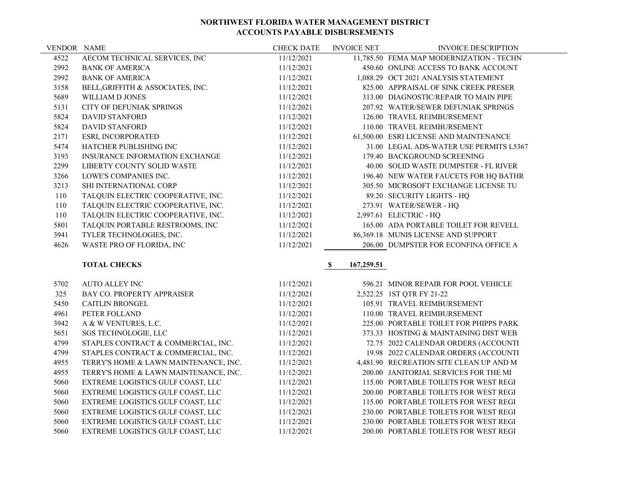| <b>VENDOR NAME</b> |                                    | <b>CHECK DATE</b> | <b>INVOICE NET</b> | <b>INVOICE DESCRIPTION</b>               |
|--------------------|------------------------------------|-------------------|--------------------|------------------------------------------|
| 4522               | AECOM TECHNICAL SERVICES, INC      | 11/12/2021        |                    | 11,785.50 FEMA MAP MODERNIZATION - TECHN |
| 2992               | <b>BANK OF AMERICA</b>             | 11/12/2021        |                    | 450.60 ONLINE ACCESS TO BANK ACCOUNT     |
| 2992               | <b>BANK OF AMERICA</b>             | 11/12/2021        |                    | 1,088.29 OCT 2021 ANALYSIS STATEMENT     |
| 3158               | BELL, GRIFFITH & ASSOCIATES, INC.  | 11/12/2021        |                    | 825.00 APPRAISAL OF SINK CREEK PRESER    |
| 5689               | WILLIAM D JONES                    | 11/12/2021        |                    | 313.00 DIAGNOSTIC/REPAIR TO MAIN PIPE    |
| 5131               | CITY OF DEFUNIAK SPRINGS           | 11/12/2021        |                    | 207.92 WATER/SEWER DEFUNIAK SPRINGS      |
| 5824               | <b>DAVID STANFORD</b>              | 11/12/2021        |                    | 126.00 TRAVEL REIMBURSEMENT              |
| 5824               | <b>DAVID STANFORD</b>              | 11/12/2021        |                    | 110.00 TRAVEL REIMBURSEMENT              |
| 2171               | <b>ESRI, INCORPORATED</b>          | 11/12/2021        |                    | 61,500.00 ESRI LICENSE AND MAINTENANCE   |
| 5474               | <b>HATCHER PUBLISHING INC</b>      | 11/12/2021        |                    | 31.00 LEGAL ADS-WATER USE PERMITS L5367  |
| 3193               | INSURANCE INFORMATION EXCHANGE     | 11/12/2021        |                    | 179.40 BACKGROUND SCREENING              |
| 2299               | LIBERTY COUNTY SOLID WASTE         | 11/12/2021        |                    | 40.00 SOLID WASTE DUMPSTER - FL RIVER    |
| 3266               | LOWE'S COMPANIES INC.              | 11/12/2021        |                    | 196.40 NEW WATER FAUCETS FOR HQ BATHR    |
| 3213               | <b>SHI INTERNATIONAL CORP</b>      | 11/12/2021        |                    | 305.50 MICROSOFT EXCHANGE LICENSE TU     |
| 110                | TALQUIN ELECTRIC COOPERATIVE, INC. | 11/12/2021        |                    | 89.20 SECURITY LIGHTS - HQ               |
| 110                | TALQUIN ELECTRIC COOPERATIVE, INC. | 11/12/2021        |                    | 273.91 WATER/SEWER - HQ                  |
| 110                | TALQUIN ELECTRIC COOPERATIVE, INC. | 11/12/2021        |                    | 2,997.61 ELECTRIC - HQ                   |
| 5801               | TALQUIN PORTABLE RESTROOMS, INC    | 11/12/2021        |                    | 165.00 ADA PORTABLE TOILET FOR REVELL    |
| 3941               | TYLER TECHNOLOGIES, INC.           | 11/12/2021        |                    | 86,369.18 MUNIS LICENSE AND SUPPORT      |
| 4626               | WASTE PRO OF FLORIDA, INC          | 11/12/2021        |                    | 206.00 DUMPSTER FOR ECONFINA OFFICE A    |

# **TOTAL CHECKS \$ 167,259.51**

| 5702 | AUTO ALLEY INC                        | 11/12/2021 | 596.21 MINOR REPAIR FOR POOL VEHICLE    |
|------|---------------------------------------|------------|-----------------------------------------|
| 325  | <b>BAY CO. PROPERTY APPRAISER</b>     | 11/12/2021 | 2,522.25 1ST QTR FY 21-22               |
| 5450 | <b>CAITLIN BRONGEL</b>                | 11/12/2021 | 105.91 TRAVEL REIMBURSEMENT             |
| 4961 | PETER FOLLAND                         | 11/12/2021 | 110.00 TRAVEL REIMBURSEMENT             |
| 3942 | A & W VENTURES, L.C.                  | 11/12/2021 | 225.00 PORTABLE TOILET FOR PHIPPS PARK  |
| 5651 | <b>SGS TECHNOLOGIE, LLC</b>           | 11/12/2021 | 373.33 HOSTING & MAINTAINING DIST WEB   |
| 4799 | STAPLES CONTRACT & COMMERCIAL, INC.   | 11/12/2021 | 72.75 2022 CALENDAR ORDERS (ACCOUNTI    |
| 4799 | STAPLES CONTRACT & COMMERCIAL, INC.   | 11/12/2021 | 19.98 2022 CALENDAR ORDERS (ACCOUNTI    |
| 4955 | TERRY'S HOME & LAWN MAINTENANCE, INC. | 11/12/2021 | 4,481.90 RECREATION SITE CLEAN UP AND M |
| 4955 | TERRY'S HOME & LAWN MAINTENANCE, INC. | 11/12/2021 | 200.00 JANITORIAL SERVICES FOR THE MI   |
| 5060 | EXTREME LOGISTICS GULF COAST, LLC     | 11/12/2021 | 115.00 PORTABLE TOILETS FOR WEST REGI   |
| 5060 | EXTREME LOGISTICS GULF COAST, LLC     | 11/12/2021 | 200.00 PORTABLE TOILETS FOR WEST REGI   |
| 5060 | EXTREME LOGISTICS GULF COAST, LLC     | 11/12/2021 | 115.00 PORTABLE TOILETS FOR WEST REGI   |
| 5060 | EXTREME LOGISTICS GULF COAST, LLC     | 11/12/2021 | 230.00 PORTABLE TOILETS FOR WEST REGI   |
| 5060 | EXTREME LOGISTICS GULF COAST, LLC     | 11/12/2021 | 230.00 PORTABLE TOILETS FOR WEST REGI   |
| 5060 | EXTREME LOGISTICS GULF COAST, LLC     | 11/12/2021 | 200.00 PORTABLE TOILETS FOR WEST REGI   |

|          | 596.21 MINOR REPAIR FOR POOL VEHICLE      |
|----------|-------------------------------------------|
|          | 2,522.25 1ST QTR FY 21-22                 |
|          | 105.91 TRAVEL REIMBURSEMENT               |
| 110.00   | <b>TRAVEL REIMBURSEMENT</b>               |
| 225.00   | PORTABLE TOILET FOR PHIPPS PARK           |
| 373.33   | <b>HOSTING &amp; MAINTAINING DIST WEB</b> |
|          | 72.75 2022 CALENDAR ORDERS (ACCOUNTI      |
|          | 19.98 2022 CALENDAR ORDERS (ACCOUNTI      |
| 4,481.90 | RECREATION SITE CLEAN UP AND M            |
| 200.00   | JANITORIAL SERVICES FOR THE MI            |
|          | 115.00 PORTABLE TOILETS FOR WEST REGI     |
| 200.00   | PORTABLE TOILETS FOR WEST REGI            |
| 115.00   | PORTABLE TOILETS FOR WEST REGI            |
| 230.00   | PORTABLE TOILETS FOR WEST REGI            |
| 230.00   | PORTABLE TOILETS FOR WEST REGI            |
| 200.00   | PORTABLE TOILETS FOR WEST REGI            |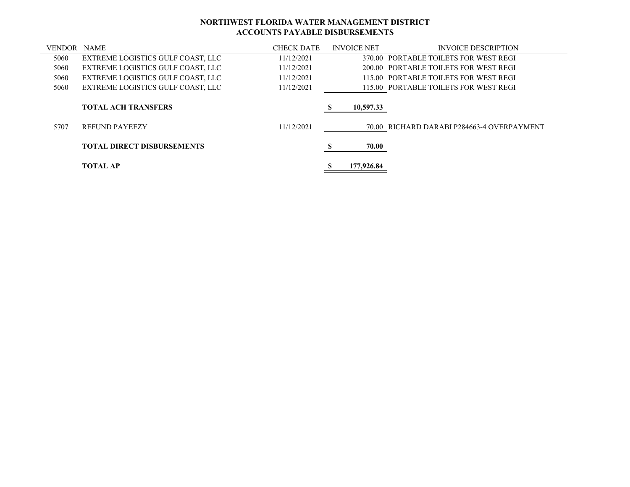| <b>VENDOR NAME</b> |                                   | <b>CHECK DATE</b> | <b>INVOICE NET</b> | <b>INVOICE DESCRIPTION</b>                 |
|--------------------|-----------------------------------|-------------------|--------------------|--------------------------------------------|
| 5060               | EXTREME LOGISTICS GULF COAST, LLC | 11/12/2021        |                    | 370.00 PORTABLE TOILETS FOR WEST REGI      |
| 5060               | EXTREME LOGISTICS GULF COAST, LLC | 11/12/2021        |                    | 200.00 PORTABLE TOILETS FOR WEST REGI      |
| 5060               | EXTREME LOGISTICS GULF COAST, LLC | 11/12/2021        |                    | 115.00 PORTABLE TOILETS FOR WEST REGI      |
| 5060               | EXTREME LOGISTICS GULF COAST, LLC | 11/12/2021        |                    | 115.00 PORTABLE TOILETS FOR WEST REGI      |
|                    | <b>TOTAL ACH TRANSFERS</b>        |                   | 10,597.33          |                                            |
| 5707               | <b>REFUND PAYEEZY</b>             | 11/12/2021        |                    | 70.00 RICHARD DARABI P284663-4 OVERPAYMENT |
|                    | <b>TOTAL DIRECT DISBURSEMENTS</b> |                   | 70.00              |                                            |
|                    | <b>TOTAL AP</b>                   |                   | 177,926.84         |                                            |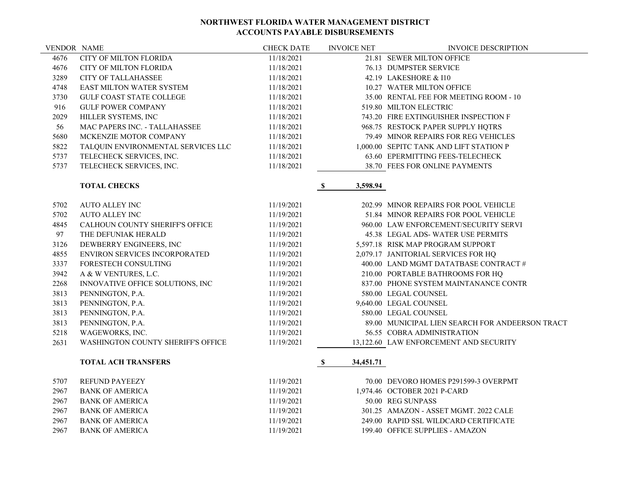| <b>VENDOR NAME</b> |                                      | <b>CHECK DATE</b> | <b>INVOICE NET</b>       | <b>INVOICE DESCRIPTION</b>                      |
|--------------------|--------------------------------------|-------------------|--------------------------|-------------------------------------------------|
| 4676               | CITY OF MILTON FLORIDA               | 11/18/2021        |                          | 21.81 SEWER MILTON OFFICE                       |
| 4676               | <b>CITY OF MILTON FLORIDA</b>        | 11/18/2021        |                          | 76.13 DUMPSTER SERVICE                          |
| 3289               | <b>CITY OF TALLAHASSEE</b>           | 11/18/2021        |                          | 42.19 LAKESHORE & I10                           |
| 4748               | EAST MILTON WATER SYSTEM             | 11/18/2021        |                          | 10.27 WATER MILTON OFFICE                       |
| 3730               | <b>GULF COAST STATE COLLEGE</b>      | 11/18/2021        |                          | 35.00 RENTAL FEE FOR MEETING ROOM - 10          |
| 916                | <b>GULF POWER COMPANY</b>            | 11/18/2021        |                          | 519.80 MILTON ELECTRIC                          |
| 2029               | HILLER SYSTEMS, INC                  | 11/18/2021        |                          | 743.20 FIRE EXTINGUISHER INSPECTION F           |
| 56                 | <b>MAC PAPERS INC. - TALLAHASSEE</b> | 11/18/2021        |                          | 968.75 RESTOCK PAPER SUPPLY HQTRS               |
| 5680               | MCKENZIE MOTOR COMPANY               | 11/18/2021        |                          | 79.49 MINOR REPAIRS FOR REG VEHICLES            |
| 5822               | TALQUIN ENVIRONMENTAL SERVICES LLC   | 11/18/2021        |                          | 1,000.00 SEPITC TANK AND LIFT STATION P         |
| 5737               | TELECHECK SERVICES, INC.             | 11/18/2021        |                          | 63.60 EPERMITTING FEES-TELECHECK                |
| 5737               | TELECHECK SERVICES, INC.             | 11/18/2021        |                          | 38.70 FEES FOR ONLINE PAYMENTS                  |
|                    | <b>TOTAL CHECKS</b>                  |                   | 3,598.94<br>S.           |                                                 |
| 5702               | <b>AUTO ALLEY INC</b>                | 11/19/2021        |                          | 202.99 MINOR REPAIRS FOR POOL VEHICLE           |
| 5702               | <b>AUTO ALLEY INC</b>                | 11/19/2021        |                          | 51.84 MINOR REPAIRS FOR POOL VEHICLE            |
| 4845               | CALHOUN COUNTY SHERIFF'S OFFICE      | 11/19/2021        |                          | 960.00 LAW ENFORCEMENT/SECURITY SERVI           |
| 97                 | THE DEFUNIAK HERALD                  | 11/19/2021        |                          | 45.38 LEGAL ADS-WATER USE PERMITS               |
| 3126               | DEWBERRY ENGINEERS, INC              | 11/19/2021        |                          | 5,597.18 RISK MAP PROGRAM SUPPORT               |
| 4855               | ENVIRON SERVICES INCORPORATED        | 11/19/2021        |                          | 2,079.17 JANITORIAL SERVICES FOR HQ             |
| 3337               | FORESTECH CONSULTING                 | 11/19/2021        |                          | 400.00 LAND MGMT DATATBASE CONTRACT #           |
| 3942               | A & W VENTURES, L.C.                 | 11/19/2021        |                          | 210.00 PORTABLE BATHROOMS FOR HQ                |
| 2268               | INNOVATIVE OFFICE SOLUTIONS, INC     | 11/19/2021        |                          | 837.00 PHONE SYSTEM MAINTANANCE CONTR           |
| 3813               | PENNINGTON, P.A.                     | 11/19/2021        |                          | 580.00 LEGAL COUNSEL                            |
| 3813               | PENNINGTON, P.A.                     | 11/19/2021        |                          | 9,640.00 LEGAL COUNSEL                          |
| 3813               | PENNINGTON, P.A.                     | 11/19/2021        |                          | 580.00 LEGAL COUNSEL                            |
| 3813               | PENNINGTON, P.A.                     | 11/19/2021        |                          | 89.00 MUNICIPAL LIEN SEARCH FOR ANDEERSON TRACT |
| 5218               | WAGEWORKS, INC.                      | 11/19/2021        |                          | 56.55 COBRA ADMINISTRATION                      |
| 2631               | WASHINGTON COUNTY SHERIFF'S OFFICE   | 11/19/2021        |                          | 13,122.60 LAW ENFORCEMENT AND SECURITY          |
|                    | <b>TOTAL ACH TRANSFERS</b>           |                   | $\mathbf S$<br>34,451.71 |                                                 |
| 5707               | <b>REFUND PAYEEZY</b>                | 11/19/2021        |                          | 70.00 DEVORO HOMES P291599-3 OVERPMT            |
| 2967               | <b>BANK OF AMERICA</b>               | 11/19/2021        |                          | 1,974.46 OCTOBER 2021 P-CARD                    |
| 2967               | <b>BANK OF AMERICA</b>               | 11/19/2021        |                          | 50.00 REG SUNPASS                               |
| 2967               | <b>BANK OF AMERICA</b>               | 11/19/2021        |                          | 301.25 AMAZON - ASSET MGMT. 2022 CALE           |
| 2967               | <b>BANK OF AMERICA</b>               | 11/19/2021        |                          | 249.00 RAPID SSL WILDCARD CERTIFICATE           |
| 2967               | <b>BANK OF AMERICA</b>               | 11/19/2021        |                          | 199.40 OFFICE SUPPLIES - AMAZON                 |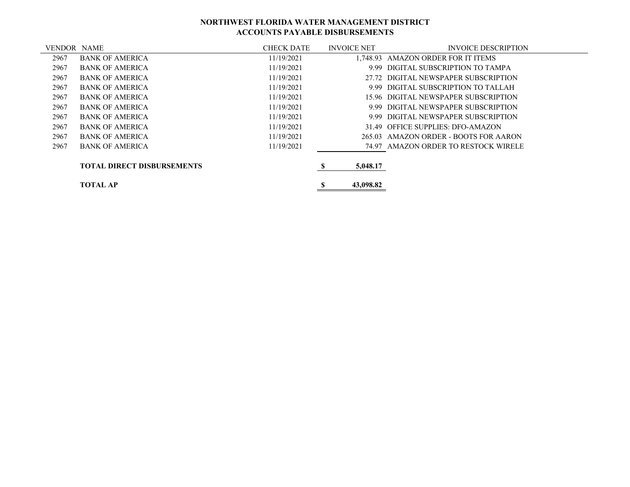| <b>VENDOR NAME</b> |                                   | <b>CHECK DATE</b> | <b>INVOICE NET</b> | <b>INVOICE DESCRIPTION</b>            |
|--------------------|-----------------------------------|-------------------|--------------------|---------------------------------------|
| 2967               | <b>BANK OF AMERICA</b>            | 11/19/2021        |                    | 1.748.93 AMAZON ORDER FOR IT ITEMS    |
| 2967               | <b>BANK OF AMERICA</b>            | 11/19/2021        | 999                | DIGITAL SUBSCRIPTION TO TAMPA         |
| 2967               | <b>BANK OF AMERICA</b>            | 11/19/2021        |                    | 27.72 DIGITAL NEWSPAPER SUBSCRIPTION  |
| 2967               | <b>BANK OF AMERICA</b>            | 11/19/2021        |                    | 9.99 DIGITAL SUBSCRIPTION TO TALLAH   |
| 2967               | <b>BANK OF AMERICA</b>            | 11/19/2021        |                    | 15.96 DIGITAL NEWSPAPER SUBSCRIPTION  |
| 2967               | <b>BANK OF AMERICA</b>            | 11/19/2021        |                    | 9.99 DIGITAL NEWSPAPER SUBSCRIPTION   |
| 2967               | <b>BANK OF AMERICA</b>            | 11/19/2021        |                    | 9.99 DIGITAL NEWSPAPER SUBSCRIPTION   |
| 2967               | <b>BANK OF AMERICA</b>            | 11/19/2021        |                    | 31.49 OFFICE SUPPLIES: DFO-AMAZON     |
| 2967               | <b>BANK OF AMERICA</b>            | 11/19/2021        |                    | 265.03 AMAZON ORDER - BOOTS FOR AARON |
| 2967               | <b>BANK OF AMERICA</b>            | 11/19/2021        |                    | 74.97 AMAZON ORDER TO RESTOCK WIRELE  |
|                    | <b>TOTAL DIRECT DISBURSEMENTS</b> |                   | 5,048.17           |                                       |
|                    | <b>TOTAL AP</b>                   |                   | 43,098.82          |                                       |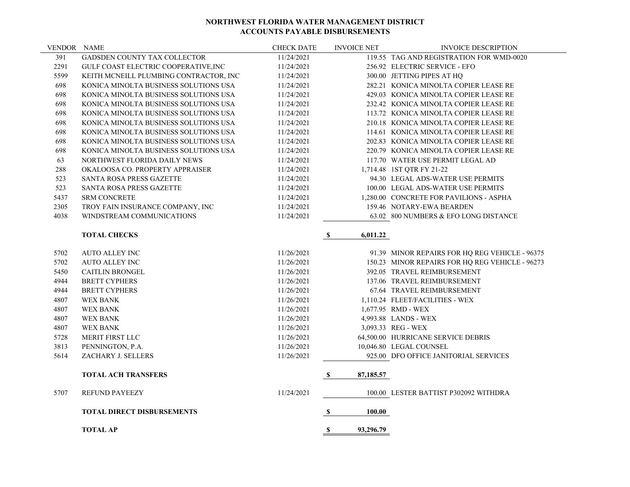| VENDOR NAME |                                        | <b>CHECK DATE</b> | <b>INVOICE NET</b>       | <b>INVOICE DESCRIPTION</b>                      |
|-------------|----------------------------------------|-------------------|--------------------------|-------------------------------------------------|
| 391         | GADSDEN COUNTY TAX COLLECTOR           | 11/24/2021        |                          | 119.55 TAG AND REGISTRATION FOR WMD-0020        |
| 2291        | GULF COAST ELECTRIC COOPERATIVE, INC   | 11/24/2021        |                          | 256.92 ELECTRIC SERVICE - EFO                   |
| 5599        | KEITH MCNEILL PLUMBING CONTRACTOR, INC | 11/24/2021        |                          | 300.00 JETTING PIPES AT HQ                      |
| 698         | KONICA MINOLTA BUSINESS SOLUTIONS USA  | 11/24/2021        |                          | 282.21 KONICA MINOLTA COPIER LEASE RE           |
| 698         | KONICA MINOLTA BUSINESS SOLUTIONS USA  | 11/24/2021        |                          | 429.03 KONICA MINOLTA COPIER LEASE RE           |
| 698         | KONICA MINOLTA BUSINESS SOLUTIONS USA  | 11/24/2021        |                          | 232.42 KONICA MINOLTA COPIER LEASE RE           |
| 698         | KONICA MINOLTA BUSINESS SOLUTIONS USA  | 11/24/2021        |                          | 113.72 KONICA MINOLTA COPIER LEASE RE           |
| 698         | KONICA MINOLTA BUSINESS SOLUTIONS USA  | 11/24/2021        |                          | 210.18 KONICA MINOLTA COPIER LEASE RE           |
| 698         | KONICA MINOLTA BUSINESS SOLUTIONS USA  | 11/24/2021        |                          | 114.61 KONICA MINOLTA COPIER LEASE RE           |
| 698         | KONICA MINOLTA BUSINESS SOLUTIONS USA  | 11/24/2021        |                          | 202.83 KONICA MINOLTA COPIER LEASE RE           |
| 698         | KONICA MINOLTA BUSINESS SOLUTIONS USA  | 11/24/2021        |                          | 220.79 KONICA MINOLTA COPIER LEASE RE           |
| 63          | NORTHWEST FLORIDA DAILY NEWS           | 11/24/2021        |                          | 117.70 WATER USE PERMIT LEGAL AD                |
| 288         | OKALOOSA CO. PROPERTY APPRAISER        | 11/24/2021        |                          | 1,714.48 1ST QTR FY 21-22                       |
| 523         | <b>SANTA ROSA PRESS GAZETTE</b>        | 11/24/2021        |                          | 94.30 LEGAL ADS-WATER USE PERMITS               |
| 523         | SANTA ROSA PRESS GAZETTE               | 11/24/2021        |                          | 100.00 LEGAL ADS-WATER USE PERMITS              |
| 5437        | <b>SRM CONCRETE</b>                    | 11/24/2021        |                          | 1,280.00 CONCRETE FOR PAVILIONS - ASPHA         |
| 2305        | TROY FAIN INSURANCE COMPANY, INC       | 11/24/2021        |                          | 159.46 NOTARY-EWA BEARDEN                       |
| 4038        | WINDSTREAM COMMUNICATIONS              | 11/24/2021        |                          | 63.02 800 NUMBERS & EFO LONG DISTANCE           |
|             |                                        |                   |                          |                                                 |
|             | <b>TOTAL CHECKS</b>                    |                   | $\mathbb{S}$<br>6,011.22 |                                                 |
| 5702        | <b>AUTO ALLEY INC</b>                  | 11/26/2021        |                          | 91.39 MINOR REPAIRS FOR HQ REG VEHICLE - 96375  |
| 5702        | <b>AUTO ALLEY INC</b>                  | 11/26/2021        |                          | 150.23 MINOR REPAIRS FOR HQ REG VEHICLE - 96273 |
| 5450        | <b>CAITLIN BRONGEL</b>                 | 11/26/2021        |                          | 392.05 TRAVEL REIMBURSEMENT                     |
| 4944        | <b>BRETT CYPHERS</b>                   | 11/26/2021        |                          | 137.06 TRAVEL REIMBURSEMENT                     |
| 4944        | <b>BRETT CYPHERS</b>                   | 11/26/2021        |                          | 67.64 TRAVEL REIMBURSEMENT                      |
| 4807        | <b>WEX BANK</b>                        | 11/26/2021        |                          | 1,110.24 FLEET/FACILITIES - WEX                 |
| 4807        | <b>WEX BANK</b>                        | 11/26/2021        |                          | 1,677.95 RMD - WEX                              |
| 4807        | <b>WEX BANK</b>                        | 11/26/2021        |                          | 4,993.88 LANDS - WEX                            |
| 4807        | <b>WEX BANK</b>                        | 11/26/2021        |                          | 3,093.33 REG - WEX                              |
| 5728        | MERIT FIRST LLC                        | 11/26/2021        |                          | 64,500.00 HURRICANE SERVICE DEBRIS              |
| 3813        | PENNINGTON, P.A.                       | 11/26/2021        |                          | 10,046.80 LEGAL COUNSEL                         |
| 5614        | ZACHARY J. SELLERS                     | 11/26/2021        |                          | 925.00 DFO OFFICE JANITORIAL SERVICES           |
|             |                                        |                   |                          |                                                 |
|             | <b>TOTAL ACH TRANSFERS</b>             |                   | 87,185.57<br>S,          |                                                 |
| 5707        | <b>REFUND PAYEEZY</b>                  | 11/24/2021        |                          | 100.00 LESTER BATTIST P302092 WITHDRA           |
|             |                                        |                   |                          |                                                 |
|             | <b>TOTAL DIRECT DISBURSEMENTS</b>      |                   | 100.00<br>$\mathbf S$    |                                                 |
|             | <b>TOTAL AP</b>                        |                   | S<br>93,296.79           |                                                 |